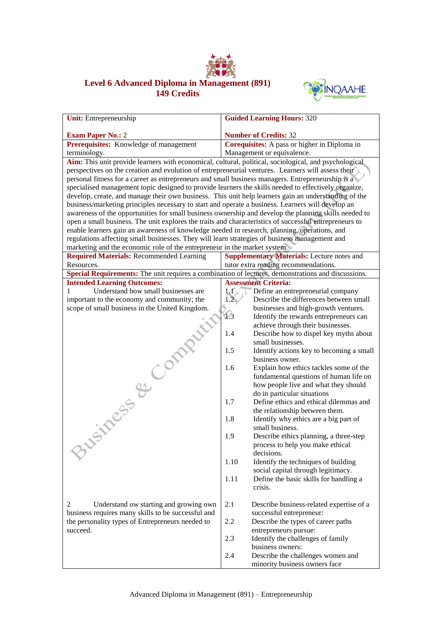

## **Level 6 Advanced Diploma in Management (891) 149 Credits**



| <b>Unit:</b> Entrepreneurship                                                                          | <b>Guided Learning Hours: 320</b>                                           |
|--------------------------------------------------------------------------------------------------------|-----------------------------------------------------------------------------|
| <b>Exam Paper No.: 2</b>                                                                               | <b>Number of Credits: 32</b>                                                |
| Prerequisites: Knowledge of management                                                                 | Corequisites: A pass or higher in Diploma in                                |
| terminology.                                                                                           | Management or equivalence.                                                  |
| Aim: This unit provide learners with economical, cultural, political, sociological, and psychological  |                                                                             |
| perspectives on the creation and evolution of entrepreneurial ventures. Learners will assess their     |                                                                             |
| personal fitness for a career as entrepreneurs and small business managers. Entrepreneurship is a      |                                                                             |
| specialised management topic designed to provide learners the skills needed to effectively organize,   |                                                                             |
| develop, create, and manage their own business. This unit help learners gain an understanding of the   |                                                                             |
| business/marketing principles necessary to start and operate a business. Learners will develop an      |                                                                             |
| awareness of the opportunities for small business ownership and develop the planning skills needed to  |                                                                             |
| open a small business. The unit explores the traits and characteristics of successful entrepreneurs to |                                                                             |
| enable learners gain an awareness of knowledge needed in research, planning, operations, and           |                                                                             |
| regulations affecting small businesses. They will learn strategies of business management and          |                                                                             |
| marketing and the economic role of the entrepreneur in the market system.                              |                                                                             |
| <b>Required Materials: Recommended Learning</b>                                                        | <b>Supplementary Materials:</b> Lecture notes and                           |
| Resources.                                                                                             | tutor extra reading recommendations.                                        |
| Special Requirements: The unit requires a combination of lectures, demonstrations and discussions.     |                                                                             |
| <b>Intended Learning Outcomes:</b>                                                                     | <b>Assessment Criteria:</b>                                                 |
| Understand how small businesses are<br>1                                                               | $1/\sqrt{2}$<br>Define an entrepreneurial company                           |
| important to the economy and community; the                                                            | Describe the differences between small<br>1.2 <sub>1</sub>                  |
| scope of small business in the United Kingdom.                                                         | businesses and high-growth ventures.<br>1.3                                 |
|                                                                                                        | Identify the rewards entrepreneurs can<br>achieve through their businesses. |
|                                                                                                        | Describe how to dispel key myths about<br>1.4                               |
|                                                                                                        | small businesses.                                                           |
|                                                                                                        | Identify actions key to becoming a small<br>1.5                             |
| Siness & Company                                                                                       | business owner.                                                             |
|                                                                                                        | 1.6<br>Explain how ethics tackles some of the                               |
|                                                                                                        | fundamental questions of human life on                                      |
|                                                                                                        | how people live and what they should                                        |
|                                                                                                        | do in particular situations                                                 |
|                                                                                                        | Define ethics and ethical dilemmas and<br>1.7                               |
|                                                                                                        | the relationship between them.                                              |
|                                                                                                        | Identify why ethics are a big part of<br>1.8                                |
|                                                                                                        | small business.                                                             |
|                                                                                                        | 1.9<br>Describe ethics planning, a three-step                               |
|                                                                                                        | process to help you make ethical                                            |
|                                                                                                        | decisions.                                                                  |
|                                                                                                        | 1.10<br>Identify the techniques of building                                 |
|                                                                                                        | social capital through legitimacy.                                          |
|                                                                                                        | 1.11<br>Define the basic skills for handling a                              |
|                                                                                                        | crisis.                                                                     |
| 2<br>Understand ow starting and growing own                                                            | 2.1<br>Describe business-related expertise of a                             |
| business requires many skills to be successful and                                                     |                                                                             |
| the personality types of Entrepreneurs needed to                                                       | successful entrepreneur:<br>2.2<br>Describe the types of career paths       |
| succeed.                                                                                               | entrepreneurs pursue:                                                       |
|                                                                                                        | 2.3<br>Identify the challenges of family                                    |
|                                                                                                        | business owners:                                                            |
|                                                                                                        | 2.4<br>Describe the challenges women and                                    |
|                                                                                                        | minority business owners face                                               |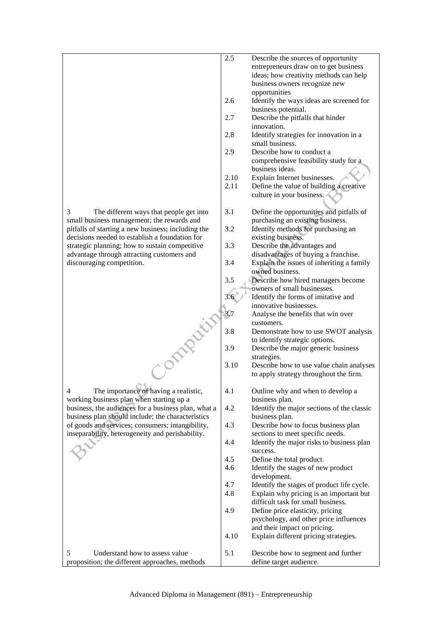|                                                                                            | 2.5  | Describe the sources of opportunity                                          |
|--------------------------------------------------------------------------------------------|------|------------------------------------------------------------------------------|
|                                                                                            |      | entrepreneurs draw on to get business                                        |
|                                                                                            |      | ideas; how creativity methods can help                                       |
|                                                                                            |      | business owners recognize new                                                |
|                                                                                            |      | opportunities                                                                |
|                                                                                            | 2.6  | Identify the ways ideas are screened for<br>business potential.              |
|                                                                                            | 2.7  | Describe the pitfalls that hinder                                            |
|                                                                                            |      | innovation.                                                                  |
|                                                                                            | 2.8  | Identify strategies for innovation in a                                      |
|                                                                                            |      | small business.                                                              |
|                                                                                            | 2.9  | Describe how to conduct a                                                    |
|                                                                                            |      | comprehensive feasibility study for a                                        |
|                                                                                            |      | business ideas.                                                              |
|                                                                                            | 2.10 | Explain Internet businesses.                                                 |
|                                                                                            | 2.11 | Define the value of building a creative<br>culture in your business.         |
| 3<br>The different ways that people get into<br>small business management; the rewards and | 3.1  | Define the opportunities and pitfalls of<br>purchasing an existing business. |
| pitfalls of starting a new business; including the                                         | 3.2  | Identify methods for purchasing an                                           |
| decisions needed to establish a foundation for                                             |      | existing business.                                                           |
| strategic planning; how to sustain competitive                                             | 3.3  | Describe the advantages and                                                  |
| advantage through attracting customers and                                                 |      | disadvantages of buying a franchise.                                         |
| discouraging competition.                                                                  | 3.4  | Explain the issues of inheriting a family                                    |
|                                                                                            |      | owned business.                                                              |
|                                                                                            | 3.5  | Describe how hired managers become                                           |
|                                                                                            |      | owners of small businesses.                                                  |
|                                                                                            |      |                                                                              |
|                                                                                            | 3.6  | Identify the forms of imitative and                                          |
|                                                                                            |      | innovative businesses.                                                       |
|                                                                                            | 3.7  | Analyse the benefits that win over                                           |
|                                                                                            |      | customers.                                                                   |
|                                                                                            | 3.8  | Demonstrate how to use SWOT analysis                                         |
|                                                                                            |      | to identify strategic options.                                               |
|                                                                                            | 3.9  | Describe the major generic business                                          |
|                                                                                            |      | strategies.                                                                  |
|                                                                                            | 3.10 | Describe how to use value chain analyses                                     |
|                                                                                            |      | to apply strategy throughout the firm.                                       |
| 4<br>The importance of having a realistic,                                                 | 4.1  | Outline why and when to develop a                                            |
|                                                                                            |      |                                                                              |
| working business plan when starting up a                                                   | 4.2  | business plan.<br>Identify the major sections of the classic                 |
| business, the audiences for a business plan, what a                                        |      |                                                                              |
| business plan should include; the characteristics                                          |      | business plan.                                                               |
| of goods and services; consumers; intangibility,                                           | 4.3  | Describe how to focus business plan                                          |
| inseparability, heterogeneity and perishability.                                           |      | sections to meet specific needs.                                             |
|                                                                                            | 4.4  | Identify the major risks to business plan                                    |
|                                                                                            |      | success.                                                                     |
|                                                                                            | 4.5  | Define the total product.                                                    |
|                                                                                            | 4.6  | Identify the stages of new product                                           |
|                                                                                            |      | development.                                                                 |
|                                                                                            | 4.7  | Identify the stages of product life cycle.                                   |
|                                                                                            | 4.8  | Explain why pricing is an important but                                      |
|                                                                                            |      | difficult task for small business.                                           |
|                                                                                            | 4.9  | Define price elasticity, pricing                                             |
|                                                                                            |      | psychology, and other price influences                                       |
|                                                                                            |      | and their impact on pricing.                                                 |
|                                                                                            | 4.10 | Explain different pricing strategies.                                        |
| 5<br>Understand how to assess value                                                        | 5.1  | Describe how to segment and further                                          |
| proposition; the different approaches, methods                                             |      | define target audience.                                                      |
|                                                                                            |      |                                                                              |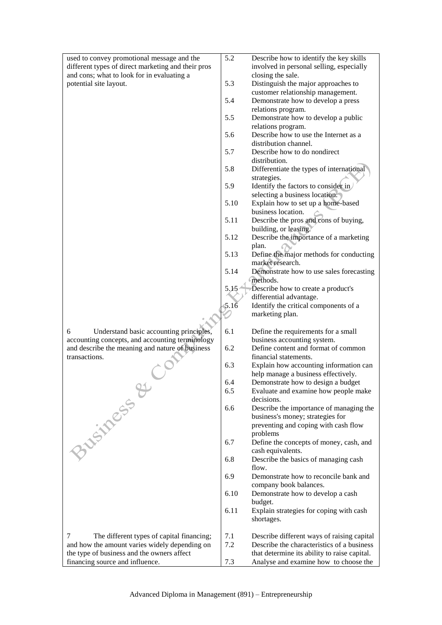| used to convey promotional message and the         | 5.2  | Describe how to identify the key skills                  |
|----------------------------------------------------|------|----------------------------------------------------------|
| different types of direct marketing and their pros |      | involved in personal selling, especially                 |
| and cons; what to look for in evaluating a         |      | closing the sale.                                        |
| potential site layout.                             | 5.3  | Distinguish the major approaches to                      |
|                                                    |      | customer relationship management.                        |
|                                                    | 5.4  | Demonstrate how to develop a press<br>relations program. |
|                                                    | 5.5  | Demonstrate how to develop a public                      |
|                                                    |      | relations program.                                       |
|                                                    | 5.6  | Describe how to use the Internet as a                    |
|                                                    |      | distribution channel.                                    |
|                                                    | 5.7  | Describe how to do nondirect                             |
|                                                    |      | distribution.                                            |
|                                                    | 5.8  | Differentiate the types of international                 |
|                                                    |      | strategies.                                              |
|                                                    | 5.9  | Identify the factors to consider in                      |
|                                                    |      | selecting a business location.                           |
|                                                    | 5.10 | Explain how to set up a home-based<br>business location. |
|                                                    | 5.11 | Describe the pros and cons of buying,                    |
|                                                    |      | building, or leasing.                                    |
|                                                    | 5.12 | Describe the importance of a marketing                   |
|                                                    |      | plan.                                                    |
|                                                    | 5.13 | Define the major methods for conducting                  |
|                                                    |      | market research.                                         |
|                                                    | 5.14 | Demonstrate how to use sales forecasting                 |
|                                                    |      | methods.                                                 |
|                                                    | 5.15 | Describe how to create a product's                       |
|                                                    |      | differential advantage.                                  |
|                                                    | 5.16 | Identify the critical components of a                    |
|                                                    |      | marketing plan.                                          |
| 6<br>Understand basic accounting principles,       | 6.1  | Define the requirements for a small                      |
| accounting concepts, and accounting terminology    |      | business accounting system.                              |
| and describe the meaning and nature of business    | 6.2  | Define content and format of common                      |
| transactions.                                      |      | financial statements.                                    |
|                                                    | 6.3  | Explain how accounting information can                   |
|                                                    |      | help manage a business effectively.                      |
| Business &                                         | 6.4  | Demonstrate how to design a budget                       |
|                                                    | 6.5  | Evaluate and examine how people make<br>decisions.       |
|                                                    | 6.6  | Describe the importance of managing the                  |
|                                                    |      | business's money; strategies for                         |
|                                                    |      | preventing and coping with cash flow                     |
|                                                    |      | problems                                                 |
|                                                    | 6.7  | Define the concepts of money, cash, and                  |
|                                                    |      | cash equivalents.                                        |
|                                                    | 6.8  | Describe the basics of managing cash                     |
|                                                    |      | flow.                                                    |
|                                                    | 6.9  | Demonstrate how to reconcile bank and                    |
|                                                    |      | company book balances.                                   |
|                                                    | 6.10 | Demonstrate how to develop a cash<br>budget.             |
|                                                    | 6.11 | Explain strategies for coping with cash                  |
|                                                    |      | shortages.                                               |
|                                                    |      |                                                          |
| The different types of capital financing;<br>7     | 7.1  | Describe different ways of raising capital               |
| and how the amount varies widely depending on      | 7.2  | Describe the characteristics of a business               |
| the type of business and the owners affect         |      | that determine its ability to raise capital.             |
| financing source and influence.                    | 7.3  | Analyse and examine how to choose the                    |